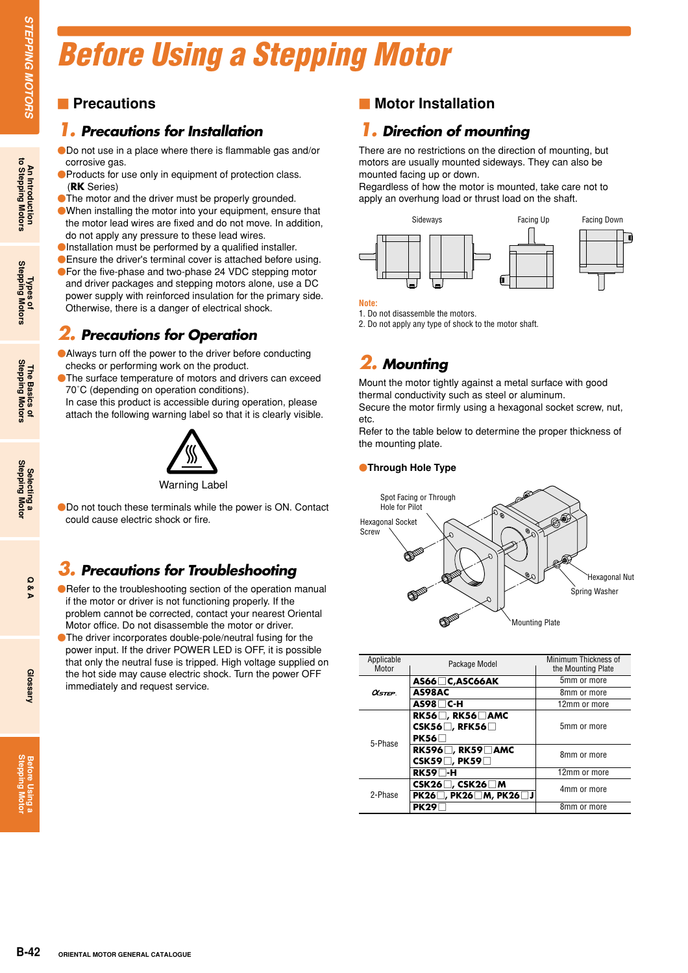# *Before Using a Stepping Motor*

### **Precautions**

### *1. Precautions for Installation*

Do not use in a place where there is flammable gas and/or corrosive gas.

- **OProducts for use only in equipment of protection class.** (**RK** Series)
- **The motor and the driver must be properly grounded.**
- When installing the motor into your equipment, ensure that the motor lead wires are fixed and do not move. In addition, do not apply any pressure to these lead wires.
- Installation must be performed by a qualified installer.
- **Ensure the driver's terminal cover is attached before using.** For the five-phase and two-phase 24 VDC stepping motor and driver packages and stepping motors alone, use a DC power supply with reinforced insulation for the primary side. Otherwise, there is a danger of electrical shock.

### *2. Precautions for Operation*

Always turn off the power to the driver before conducting checks or performing work on the product.

**• The surface temperature of motors and drivers can exceed** 70˚C (depending on operation conditions).

In case this product is accessible during operation, please attach the following warning label so that it is clearly visible.



Warning Label

Do not touch these terminals while the power is ON. Contact could cause electric shock or fire.

### *3. Precautions for Troubleshooting*

- Refer to the troubleshooting section of the operation manual if the motor or driver is not functioning properly. If the problem cannot be corrected, contact your nearest Oriental Motor office. Do not disassemble the motor or driver.
- The driver incorporates double-pole/neutral fusing for the power input. If the driver POWER LED is OFF, it is possible that only the neutral fuse is tripped. High voltage supplied on the hot side may cause electric shock. Turn the power OFF immediately and request service.

### $\blacksquare$  **Motor Installation**

## *1. Direction of mounting*

There are no restrictions on the direction of mounting, but motors are usually mounted sideways. They can also be mounted facing up or down.

Regardless of how the motor is mounted, take care not to apply an overhung load or thrust load on the shaft.



**Note:**

1. Do not disassemble the motors.

2. Do not apply any type of shock to the motor shaft.

# *2. Mounting*

Mount the motor tightly against a metal surface with good thermal conductivity such as steel or aluminum.

Secure the motor firmly using a hexagonal socket screw, nut, etc.

Refer to the table below to determine the proper thickness of the mounting plate.

#### **Through Hole Type**



| Applicable<br>Motor      | Package Model                                                | Minimum Thickness of<br>the Mounting Plate |
|--------------------------|--------------------------------------------------------------|--------------------------------------------|
| AS66□C,ASC66AK           |                                                              | 5mm or more                                |
| $\alpha$ <sub>step</sub> | AS98AC                                                       | 8mm or more                                |
|                          | $AS98\Box C-H$                                               | 12mm or more                               |
| 5-Phase                  | $RK56$ , $RK56$ AMC<br>CSK56 $\Box$ , RFK56 $\Box$<br>PK56   | 5mm or more                                |
|                          | RK596 $\Box$ , RK59 $\Box$ AMC<br>CSK59 $\Box$ , PK59 $\Box$ | 8mm or more                                |
|                          | $RK59$ -H                                                    | 12mm or more                               |
| 2-Phase                  | CSK26 $\Box$ , CSK26 $\Box$ M<br>PK26□, PK26□M, PK26□J       | 4mm or more                                |
|                          | <b>PK29</b>                                                  | 8mm or more                                |

**An Introduction to Stepping Motors**

**Stepping Motor Before Using a**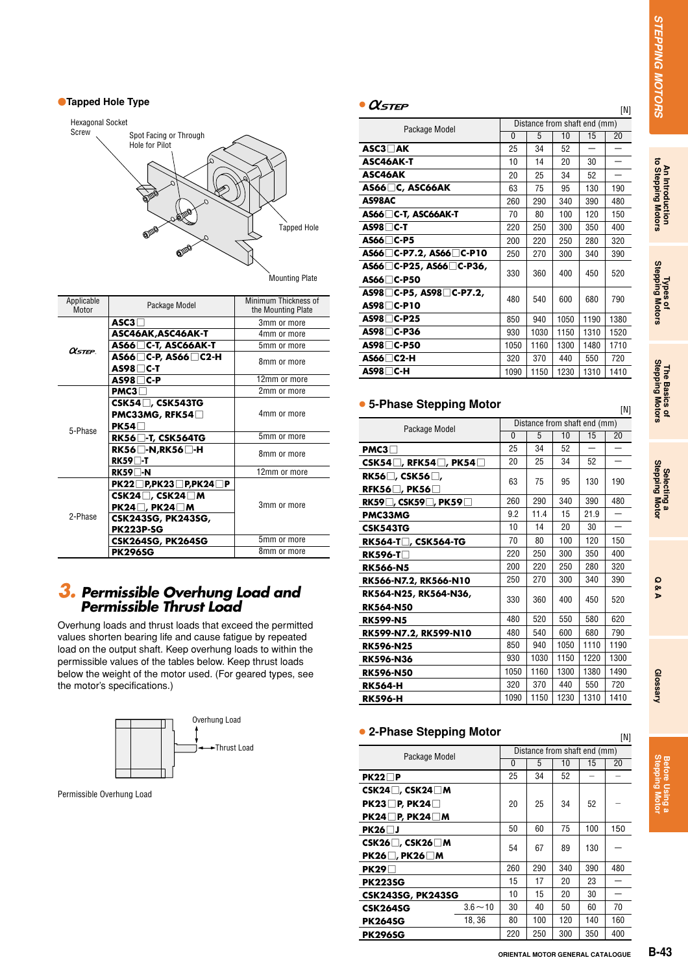[N]

#### **Tapped Hole Type**



| Applicable<br>Motor | Package Model                                                                                                           | Minimum Thickness of<br>the Mounting Plate |
|---------------------|-------------------------------------------------------------------------------------------------------------------------|--------------------------------------------|
| $\alpha$ step       | $\mathsf{ASC3} \sqcap$                                                                                                  | 3mm or more                                |
|                     | ASC46AK, ASC46AK-T                                                                                                      | 4mm or more                                |
|                     | AS66□C-T, ASC66AK-T                                                                                                     | 5mm or more                                |
|                     | AS66□C-P, AS66□C2-H                                                                                                     | 8mm or more                                |
|                     | AS98∏C-P                                                                                                                | 12mm or more                               |
|                     | PMC3                                                                                                                    | 2mm or more                                |
| 5-Phase<br>2-Phase  | <b>CSK54</b> □, CSK543TG<br>PMC33MG, RFK54□<br><b>PK54</b>                                                              | 4mm or more                                |
|                     | $RK56$ $\Box$ -T, CSK564TG                                                                                              | 5mm or more                                |
|                     | $RK56$ $\Box$ -N,RK56 $\Box$ -H<br>$RK59$ $\Box$ -T                                                                     | 8mm or more                                |
|                     | $RK59$ -N                                                                                                               | 12mm or more                               |
|                     | $PK22$ P,PK23 P,PK24<br>P<br>CSK24 $\Box$ , CSK24 $\Box$ M<br>$PK24$ , PK24 M<br>CSK243SG, PK243SG,<br><b>PK223P-SG</b> | 3mm or more                                |
|                     | <b>CSK264SG, PK264SG</b>                                                                                                | 5mm or more                                |
|                     | <b>PK296SG</b>                                                                                                          | 8mm or more                                |

### *3. Permissible Overhung Load and Permissible Thrust Load*

Overhung loads and thrust loads that exceed the permitted values shorten bearing life and cause fatigue by repeated load on the output shaft. Keep overhung loads to within the permissible values of the tables below. Keep thrust loads below the weight of the motor used. (For geared types, see the motor's specifications.)



Permissible Overhung Load

#### $\bullet$   $\alpha$ <sub>STEP</sub>

| <b>USTEP</b>            |                              |      |      |      | [N]  |  |  |
|-------------------------|------------------------------|------|------|------|------|--|--|
| Package Model           | Distance from shaft end (mm) |      |      |      |      |  |  |
|                         | 0                            | 5    | 10   | 15   | 20   |  |  |
| $ASC3$ $\neg$ AK        | 25                           | 34   | 52   |      |      |  |  |
| ASC46AK-T               | 10                           | 14   | 20   | 30   |      |  |  |
| ASC46AK                 | 20                           | 25   | 34   | 52   |      |  |  |
| $AS66$ $C$ , ASC66AK    | 63                           | 75   | 95   | 130  | 190  |  |  |
| AS98AC                  | 260                          | 290  | 340  | 390  | 480  |  |  |
| AS66□C-T, ASC66AK-T     | 70                           | 80   | 100  | 120  | 150  |  |  |
| $AS98\Box C-T$          | 220                          | 250  | 300  | 350  | 400  |  |  |
| AS66∏C-P5               | 200                          | 220  | 250  | 280  | 320  |  |  |
| AS66□C-P7.2, AS66□C-P10 | 250                          | 270  | 300  | 340  | 390  |  |  |
| AS66□C-P25, AS66□C-P36, | 330                          | 360  | 400  | 450  | 520  |  |  |
| AS66□C-P50              |                              |      |      |      |      |  |  |
| AS98□C-P5, AS98□C-P7.2, | 480                          | 540  | 600  | 680  | 790  |  |  |
| $AS98 \Box C-P10$       |                              |      |      |      |      |  |  |
| AS98□C-P25              | 850                          | 940  | 1050 | 1190 | 1380 |  |  |
| $AS98\square$ C-P36     | 930                          | 1030 | 1150 | 1310 | 1520 |  |  |
| AS98□C-P50              | 1050                         | 1160 | 1300 | 1480 | 1710 |  |  |
| AS66□C2-H               | 320                          | 370  | 440  | 550  | 720  |  |  |
| AS98 □ C-H              | 1090                         | 1150 | 1230 | 1310 | 1410 |  |  |

#### ● **5-Phase Stepping Motor**

| Package Model                             | Distance from shaft end (mm) |      |      |      |      |  |
|-------------------------------------------|------------------------------|------|------|------|------|--|
|                                           | 0                            | 5    | 10   | 15   | 20   |  |
| PMC3                                      | 25                           | 34   | 52   |      |      |  |
| CSK54 $\Box$ , RFK54 $\Box$ , PK54 $\Box$ | 20                           | 25   | 34   | 52   |      |  |
| RK56□, CSK56□,                            | 63                           | 75   | 95   | 130  | 190  |  |
| RFK56 $\Box$ , PK56 $\Box$                |                              |      |      |      |      |  |
| RK59 $\Box$ , CSK59 $\Box$ , PK59 $\Box$  | 260                          | 290  | 340  | 390  | 480  |  |
| PMC33MG                                   | 9.2                          | 11.4 | 15   | 21.9 |      |  |
| <b>CSK543TG</b>                           | 10                           | 14   | 20   | 30   |      |  |
| RK564-T□, CSK564-TG                       | 70                           | 80   | 100  | 120  | 150  |  |
| $RK596 - T$                               | 220                          | 250  | 300  | 350  | 400  |  |
| <b>RK566-N5</b>                           | 200                          | 220  | 250  | 280  | 320  |  |
| RK566-N7.2, RK566-N10                     | 250                          | 270  | 300  | 340  | 390  |  |
| RK564-N25, RK564-N36,<br><b>RK564-N50</b> | 330                          | 360  | 400  | 450  | 520  |  |
| <b>RK599-N5</b>                           | 480                          | 520  | 550  | 580  | 620  |  |
| RK599-N7.2, RK599-N10                     | 480                          | 540  | 600  | 680  | 790  |  |
| <b>RK596-N25</b>                          | 850                          | 940  | 1050 | 1110 | 1190 |  |
| <b>RK596-N36</b>                          | 930                          | 1030 | 1150 | 1220 | 1300 |  |
| <b>RK596-N50</b>                          | 1050                         | 1160 | 1300 | 1380 | 1490 |  |
| <b>RK564-H</b>                            | 320                          | 370  | 440  | 550  | 720  |  |
| <b>RK596-H</b>                            | 1090                         | 1150 | 1230 | 1310 | 1410 |  |

#### ● **2-Phase Stepping Motor**

| z-Phase Stepping Motor        |            |                              |     |     | [N] |     |  |
|-------------------------------|------------|------------------------------|-----|-----|-----|-----|--|
| Package Model                 |            | Distance from shaft end (mm) |     |     |     |     |  |
|                               |            | 0                            | 5   | 10  | 15  | 20  |  |
| $PK22\Box P$                  |            | 25                           | 34  | 52  |     |     |  |
| CSK24 $\Box$ , CSK24 $\Box$ M |            |                              |     |     |     |     |  |
| $PK23$ $\Box$ P, PK24 $\Box$  |            | 20                           | 25  | 34  | 52  |     |  |
| $PK24 \Box P. PK24 \Box M$    |            |                              |     |     |     |     |  |
| $PK26$ J                      |            | 50                           | 60  | 75  | 100 | 150 |  |
| CSK26 $\Box$ , CSK26 $\Box$ M |            | 54                           | 67  | 89  | 130 |     |  |
| PK26□, PK26□M                 |            |                              |     |     |     |     |  |
| PK29                          |            | 260                          | 290 | 340 | 390 | 480 |  |
| <b>PK223SG</b>                |            | 15                           | 17  | 20  | 23  |     |  |
| <b>CSK243SG, PK243SG</b>      |            | 10                           | 15  | 20  | 30  |     |  |
| <b>CSK264SG</b>               | $3.6 - 10$ | 30                           | 40  | 50  | 60  | 70  |  |
| <b>PK264SG</b>                | 18.36      | 80                           | 100 | 120 | 140 | 160 |  |
| <b>PK296SG</b>                |            | 220                          | 250 | 300 | 350 | 400 |  |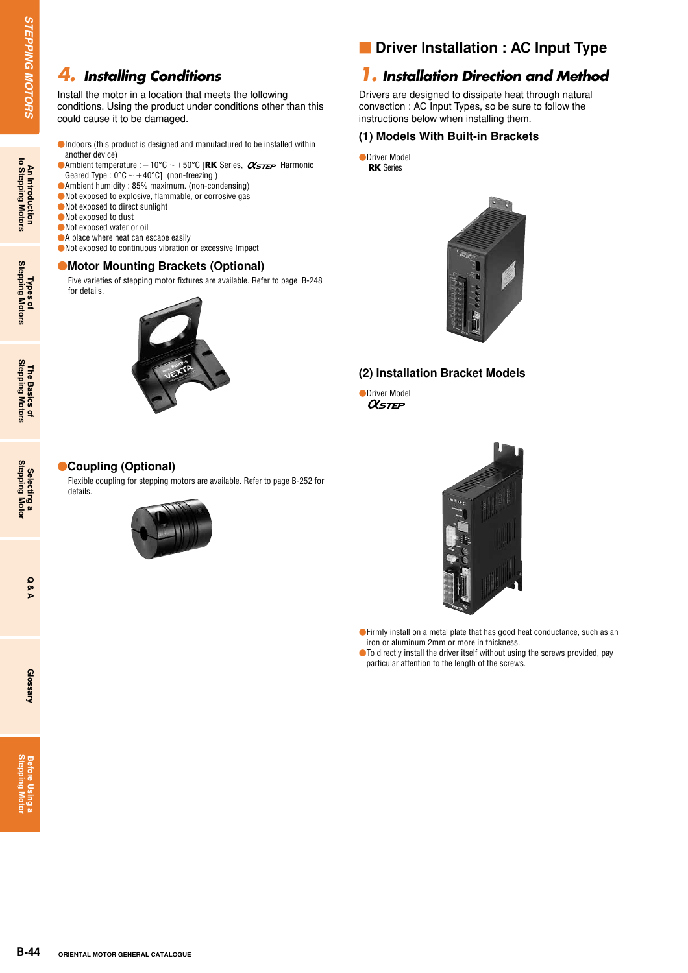### *4. Installing Conditions*

Install the motor in a location that meets the following conditions. Using the product under conditions other than this could cause it to be damaged.

- Indoors (this product is designed and manufactured to be installed within another device)
- $\bullet$  Ambient temperature :  $-10^{\circ}$ C  $\sim$  +50°C [RK Series,  $\alpha$ <sub>STEP</sub> Harmonic Geared Type:  $0^{\circ}$ C  $\sim$  +40°Cl (non-freezing)
- Ambient humidity : 85% maximum. (non-condensing)
- Not exposed to explosive, flammable, or corrosive gas
- Not exposed to direct sunlight
- Not exposed to dust
- Not exposed water or oil
- A place where heat can escape easily
- Not exposed to continuous vibration or excessive Impact

#### **Motor Mounting Brackets (Optional)**

Five varieties of stepping motor fixtures are available. Refer to page B-248 for details.



### **n** Driver Installation : AC Input Type

### *1. Installation Direction and Method*

Drivers are designed to dissipate heat through natural convection : AC Input Types, so be sure to follow the instructions below when installing them.

#### **(1) Models With Built-in Brackets**

**ODriver Model RK** Series



#### **(2) Installation Bracket Models**

ODriver Model

#### **Coupling (Optional)**

Flexible coupling for stepping motors are available. Refer to page B-252 for details.





Firmly install on a metal plate that has good heat conductance, such as an iron or aluminum 2mm or more in thickness.

● To directly install the driver itself without using the screws provided, pay particular attention to the length of the screws.

**Stepping Motor Before Using a**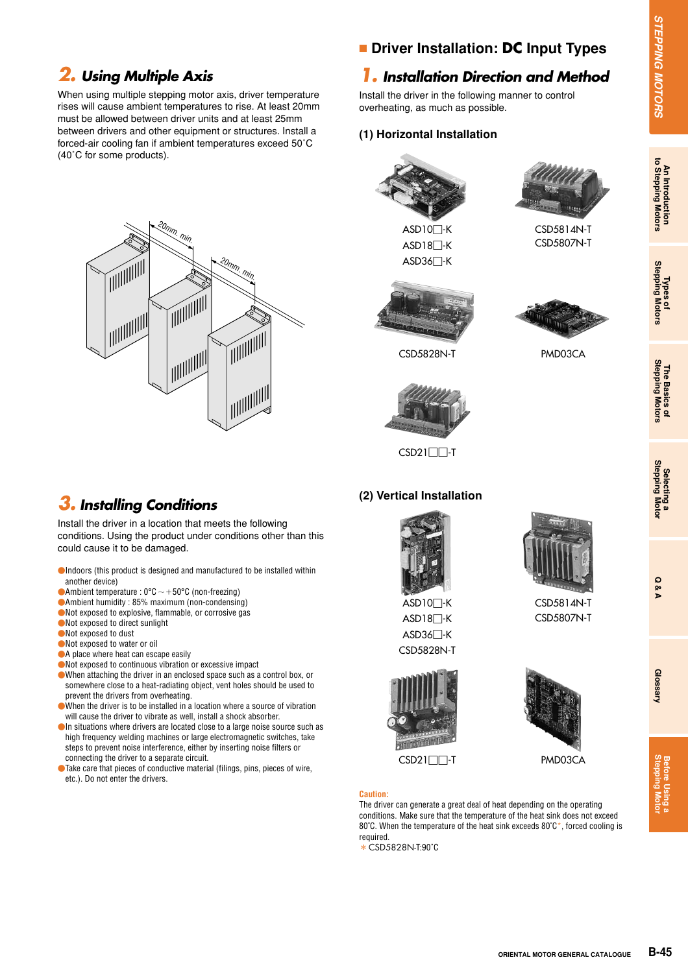# *2. Using Multiple Axis*

When using multiple stepping motor axis, driver temperature rises will cause ambient temperatures to rise. At least 20mm must be allowed between driver units and at least 25mm between drivers and other equipment or structures. Install a forced-air cooling fan if ambient temperatures exceed 50˚C (40˚C for some products).



### **Driver Installation: DC Input Types**

### *1. Installation Direction and Method*

Install the driver in the following manner to control overheating, as much as possible.

#### **(1) Horizontal Installation**



ASD10□-K ASD18□-K ASD36□-K



CSD5814N-T CSD5807N-T







CSD21□□-T

### **(2) Vertical Installation**



ASD10□-K ASD18□-K ASD36□-K CSD5828N-T





**DC Input Types**<br>
manner to control<br>
e.<br>
CSD-5814N-T<br>
CSD-5807N-T<br>
CSD-5807N-T<br>
CSD-5807N-T<br>
CSD-5807N-T<br>
CSD-5807N-T<br>
CSD-5807N-T<br>
CSD-5807N-T<br>
CSD-5807N-T<br>
CSD-5807N-T<br>
CSD-5807N-T<br>
CSD-5807N-T<br>
CSD-5807N-T<br>
CSD-5807N-T<br> The driver can generate a great deal of heat depending on the operating conditions. Make sure that the temperature of the heat sink does not exceed 80°C. When the temperature of the heat sink exceeds 80°C<sup>\*</sup>, forced cooling is required.

\*CSD5828N-T:90˚C

# *3. Installing Conditions*

Install the driver in a location that meets the following conditions. Using the product under conditions other than this could cause it to be damaged.

- Indoors (this product is designed and manufactured to be installed within another device)
- Ambient temperature :  $0^{\circ}C \sim +50^{\circ}C$  (non-freezing)
- Ambient humidity : 85% maximum (non-condensing)
- Not exposed to explosive, flammable, or corrosive gas
- Not exposed to direct sunlight
- Not exposed to dust
- Not exposed to water or oil
- A place where heat can escape easily
- Not exposed to continuous vibration or excessive impact
- When attaching the driver in an enclosed space such as a control box, or somewhere close to a heat-radiating object, vent holes should be used to prevent the drivers from overheating.
- When the driver is to be installed in a location where a source of vibration will cause the driver to vibrate as well, install a shock absorber.
- In situations where drivers are located close to a large noise source such as high frequency welding machines or large electromagnetic switches, take steps to prevent noise interference, either by inserting noise filters or connecting the driver to a separate circuit.
- Take care that pieces of conductive material (filings, pins, pieces of wire, etc.). Do not enter the drivers.





CSD5814N-T

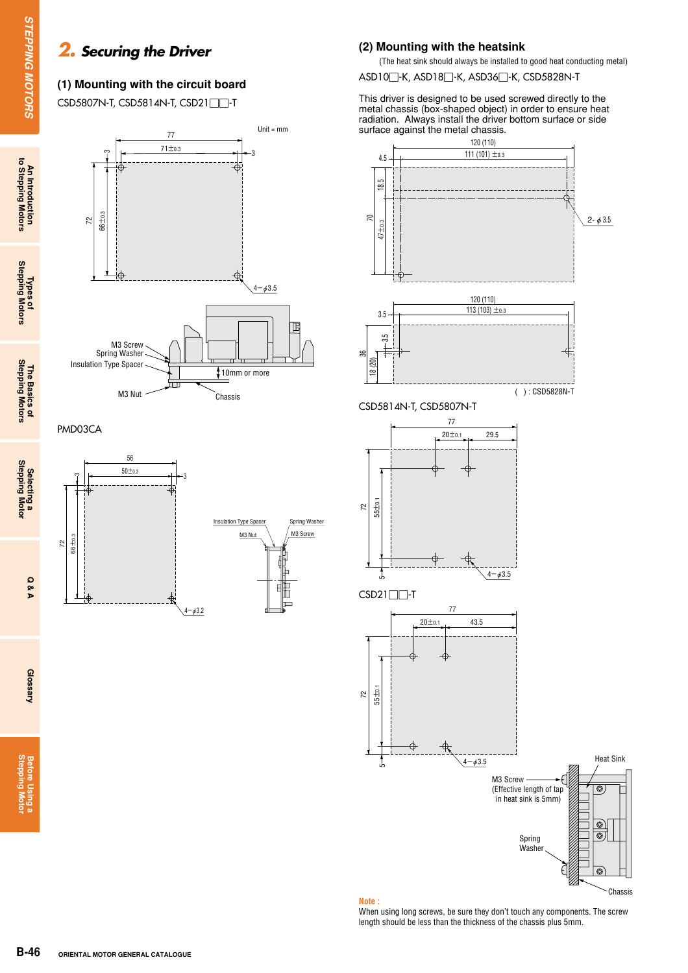### *2. Securing the Driver*

### **(1) Mounting with the circuit board**

CSD5807N-T, CSD5814N-T, CSD21□□-T







#### **(2) Mounting with the heatsink**

(The heat sink should always be installed to good heat conducting metal)

ASD10□-K, ASD18□-K, ASD36□-K, CSD5828N-T

This driver is designed to be used screwed directly to the metal chassis (box-shaped object) in order to ensure heat radiation. Always install the driver bottom surface or side surface against the metal chassis.



**Note :**

When using long screws, be sure they don't touch any components. The screw length should be less than the thickness of the chassis plus 5mm.